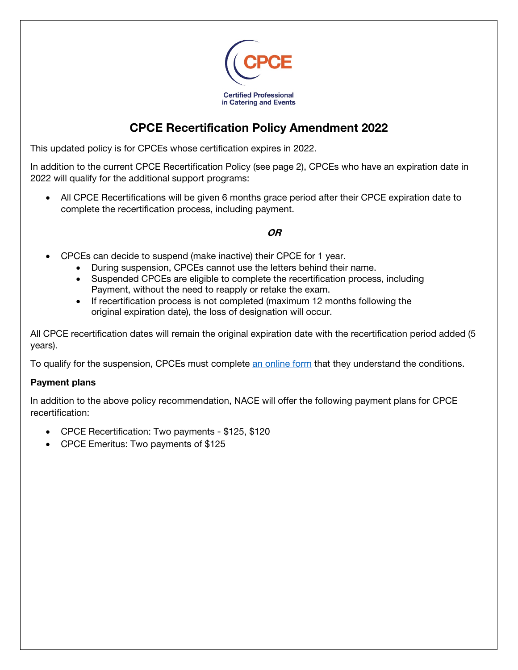

# CPCE Recertification Policy Amendment 2022

This updated policy is for CPCEs whose certification expires in 2022.

In addition to the current CPCE Recertification Policy (see page 2), CPCEs who have an expiration date in 2022 will qualify for the additional support programs:

 All CPCE Recertifications will be given 6 months grace period after their CPCE expiration date to complete the recertification process, including payment.

## OR

- CPCEs can decide to suspend (make inactive) their CPCE for 1 year.
	- During suspension, CPCEs cannot use the letters behind their name.
	- Suspended CPCEs are eligible to complete the recertification process, including Payment, without the need to reapply or retake the exam.
	- If recertification process is not completed (maximum 12 months following the original expiration date), the loss of designation will occur.

All CPCE recertification dates will remain the original expiration date with the recertification period added (5 years).

To qualify for the suspension, CPCEs must complet[e an online form t](https://form.jotform.com/nacenational/cpce-inactive-request-form)hat they understand the conditions.

#### Payment plans

In addition to the above policy recommendation, NACE will offer the following payment plans for CPCE recertification:

- CPCE Recertification: Two payments \$125, \$120
- CPCE Emeritus: Two payments of \$125